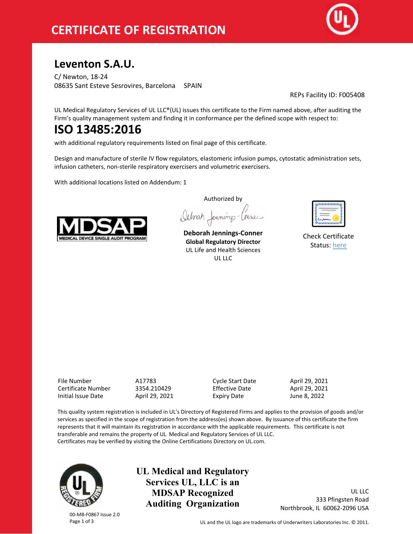

# **Leventon S.A.U.**

C/ Newton, 18-24 08635 Sant Esteve Sesrovires, Barcelona SPAIN

REPs Facility ID: F005408

UL Medical Regulatory Services of UL LLC®(UL) issues this certificate to the Firm named above, after auditing the Firm's quality management system and finding it in conformance per the defined scope with respect to:

# **ISO 13485:2016**

with additional regulatory requirements listed on final page of this certificate.

Design and manufacture of sterile IV flow regulators, elastomeric infusion pumps, cytostatic administration sets, infusion catheters, non-sterile respiratory exercisers and volumetric exercisers.

With additional locations listed on Addendum: 1



Authorized by Octorat Jenning-Courer

**Deborah Jennings-Conner Global Regulatory Director** UL Life and Health Sciences  $UL$ 

| ے |
|---|
| ÷ |

Check Certificate Status: here

File Number A17783 Cycle Start Date April 29, 2021 Certificate Number 3354.210429 Effective Date April 29, 2021 Initial Issue Date April 29, 2021 Expiry Date June 8, 2022

This quality system registration is included in UL's Directory of Registered Firms and applies to the provision of goods and/or services as specified in the scope of registration from the address(es) shown above. By issuance of this certificate the firm represents that it will maintain its registration in accordance with the applicable requirements. This certificate is not transferable and remains the property of UL Medical and Regulatory Services of UL LLC. Certificates may be verified by visiting the Online Certifications Directory on UL.com.



**UL Medical and Regulatory Services UL, LLC is an MDSAP Recognized Auditing Organization**

UL LLC 333 Pfingsten Road Northbrook, IL 60062-2096 USA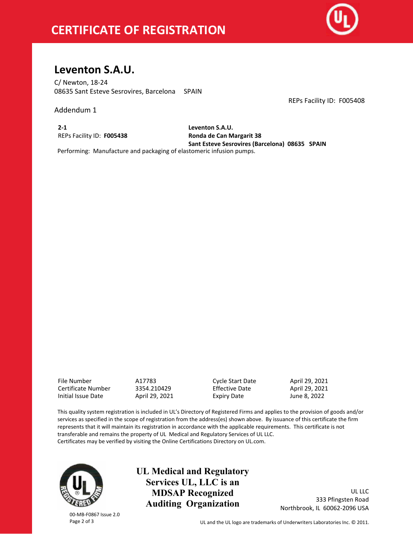# **CERTIFICATE OF REGISTRATION**



REPs Facility ID: F005408

# **Leventon S.A.U.**

C/ Newton, 18-24 08635 Sant Esteve Sesrovires, Barcelona SPAIN

Addendum 1

**2-1** REPs Facility ID: **F005438** **Leventon S.A.U. Ronda de Can Margarit 38 Sant Esteve Sesrovires (Barcelona) 08635 SPAIN**

Performing: Manufacture and packaging of elastomeric infusion pumps.

File Number A17783 Cycle Start Date April 29, 2021 Certificate Number Initial Issue Date April 29, 2021 Expiry Date June 8, 2022

This quality system registration is included in UL's Directory of Registered Firms and applies to the provision of goods and/or services as specified in the scope of registration from the address(es) shown above. By issuance of this certificate the firm represents that it will maintain its registration in accordance with the applicable requirements. This certificate is not transferable and remains the property of UL Medical and Regulatory Services of UL LLC. Certificates may be verified by visiting the Online Certifications Directory on UL.com.

00-MB-F0867 Issue 2.0

**UL Medical and Regulatory Services UL, LLC is an MDSAP Recognized Auditing Organization**

UL LLC 333 Pfingsten Road Northbrook, IL 60062-2096 USA